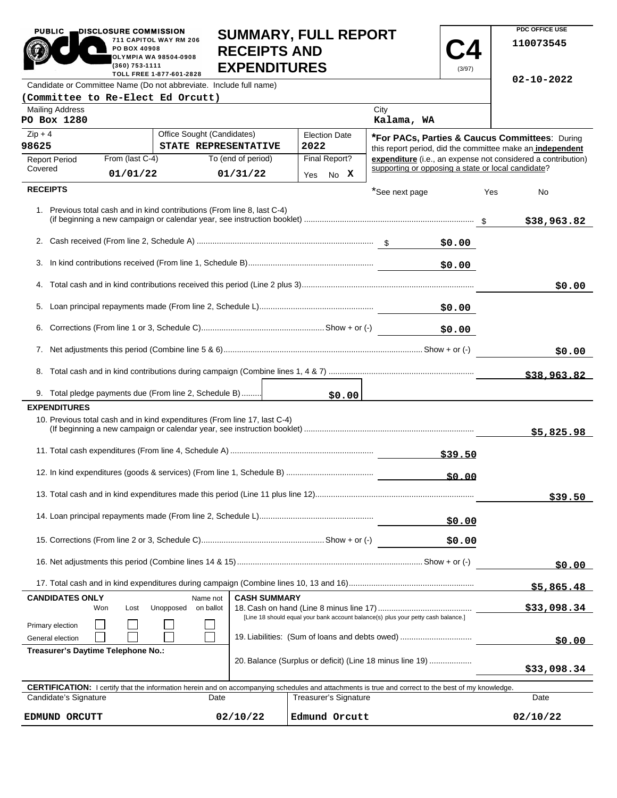|                                                                                                | SUMMARY, FULL REPORT<br>711 CAPITOL WAY RM 206<br>PO BOX 40908<br><b>RECEIPTS AND</b><br>OLYMPIA WA 98504-0908<br><b>EXPENDITURES</b><br>(360) 753-1111<br>(3/97)<br>TOLL FREE 1-877-601-2828                        |                                                                           |                                |                           |                                                    |         |                                                           | 110073545                                                    |
|------------------------------------------------------------------------------------------------|----------------------------------------------------------------------------------------------------------------------------------------------------------------------------------------------------------------------|---------------------------------------------------------------------------|--------------------------------|---------------------------|----------------------------------------------------|---------|-----------------------------------------------------------|--------------------------------------------------------------|
|                                                                                                |                                                                                                                                                                                                                      | Candidate or Committee Name (Do not abbreviate. Include full name)        |                                |                           |                                                    |         |                                                           | $02 - 10 - 2022$                                             |
| (Committee to Re-Elect Ed Orcutt)<br><b>Mailing Address</b>                                    |                                                                                                                                                                                                                      |                                                                           |                                |                           | City                                               |         |                                                           |                                                              |
| PO Box 1280                                                                                    |                                                                                                                                                                                                                      |                                                                           |                                |                           | Kalama, WA                                         |         |                                                           |                                                              |
| Office Sought (Candidates)<br>$Zip + 4$                                                        |                                                                                                                                                                                                                      | <b>Election Date</b>                                                      |                                |                           |                                                    |         | <b>*For PACs, Parties &amp; Caucus Committees: During</b> |                                                              |
| 98625<br>STATE REPRESENTATIVE                                                                  |                                                                                                                                                                                                                      | 2022                                                                      |                                |                           |                                                    |         | this report period, did the committee make an independent |                                                              |
| <b>Report Period</b><br>Covered                                                                | From (last C-4)<br>01/01/22                                                                                                                                                                                          |                                                                           | To (end of period)<br>01/31/22 | Final Report?<br>Yes No X | supporting or opposing a state or local candidate? |         |                                                           | expenditure (i.e., an expense not considered a contribution) |
| <b>RECEIPTS</b>                                                                                |                                                                                                                                                                                                                      |                                                                           |                                |                           |                                                    |         |                                                           |                                                              |
|                                                                                                |                                                                                                                                                                                                                      |                                                                           |                                |                           | *See next page                                     |         | Yes                                                       | No                                                           |
|                                                                                                |                                                                                                                                                                                                                      | 1. Previous total cash and in kind contributions (From line 8, last C-4)  |                                |                           |                                                    |         |                                                           | \$38,963.82                                                  |
|                                                                                                |                                                                                                                                                                                                                      |                                                                           |                                |                           |                                                    |         |                                                           |                                                              |
|                                                                                                |                                                                                                                                                                                                                      |                                                                           |                                |                           |                                                    | \$0.00  |                                                           |                                                              |
|                                                                                                |                                                                                                                                                                                                                      |                                                                           |                                |                           |                                                    | \$0.00  |                                                           |                                                              |
| 4.                                                                                             |                                                                                                                                                                                                                      |                                                                           |                                |                           |                                                    |         |                                                           | \$0.00                                                       |
| 5.                                                                                             |                                                                                                                                                                                                                      |                                                                           |                                |                           |                                                    | \$0.00  |                                                           |                                                              |
|                                                                                                |                                                                                                                                                                                                                      |                                                                           |                                |                           |                                                    |         |                                                           |                                                              |
|                                                                                                | 6.<br>\$0.00                                                                                                                                                                                                         |                                                                           |                                |                           |                                                    |         |                                                           |                                                              |
|                                                                                                |                                                                                                                                                                                                                      |                                                                           |                                |                           |                                                    |         |                                                           | \$0.00                                                       |
|                                                                                                |                                                                                                                                                                                                                      |                                                                           |                                |                           |                                                    |         |                                                           | \$38,963.82                                                  |
|                                                                                                |                                                                                                                                                                                                                      | 9. Total pledge payments due (From line 2, Schedule B)                    |                                | \$0.00                    |                                                    |         |                                                           |                                                              |
| <b>EXPENDITURES</b>                                                                            |                                                                                                                                                                                                                      |                                                                           |                                |                           |                                                    |         |                                                           |                                                              |
|                                                                                                |                                                                                                                                                                                                                      | 10. Previous total cash and in kind expenditures (From line 17, last C-4) |                                |                           |                                                    |         |                                                           | \$5,825.98                                                   |
|                                                                                                |                                                                                                                                                                                                                      |                                                                           |                                |                           |                                                    | \$39.50 |                                                           |                                                              |
|                                                                                                |                                                                                                                                                                                                                      |                                                                           |                                |                           |                                                    | 50.00   |                                                           |                                                              |
|                                                                                                |                                                                                                                                                                                                                      |                                                                           |                                |                           |                                                    |         |                                                           | \$39.50                                                      |
|                                                                                                |                                                                                                                                                                                                                      |                                                                           |                                |                           |                                                    | \$0.00  |                                                           |                                                              |
|                                                                                                |                                                                                                                                                                                                                      |                                                                           |                                |                           |                                                    | \$0.00  |                                                           |                                                              |
|                                                                                                |                                                                                                                                                                                                                      |                                                                           |                                |                           |                                                    |         |                                                           |                                                              |
|                                                                                                |                                                                                                                                                                                                                      |                                                                           |                                |                           |                                                    |         |                                                           | \$0.00                                                       |
| <b>CASH SUMMARY</b><br><b>CANDIDATES ONLY</b>                                                  |                                                                                                                                                                                                                      |                                                                           |                                |                           |                                                    |         | \$5,865.48                                                |                                                              |
| Name not<br>Unopposed<br>on ballot<br>Won<br>Lost                                              |                                                                                                                                                                                                                      |                                                                           |                                |                           |                                                    |         | \$33,098.34                                               |                                                              |
| Primary election                                                                               | [Line 18 should equal your bank account balance(s) plus your petty cash balance.]                                                                                                                                    |                                                                           |                                |                           |                                                    |         |                                                           |                                                              |
| 19. Liabilities: (Sum of loans and debts owed)<br>General election                             |                                                                                                                                                                                                                      |                                                                           |                                |                           |                                                    | \$0.00  |                                                           |                                                              |
| Treasurer's Daytime Telephone No.:<br>20. Balance (Surplus or deficit) (Line 18 minus line 19) |                                                                                                                                                                                                                      |                                                                           |                                |                           |                                                    |         | \$33,098.34                                               |                                                              |
|                                                                                                |                                                                                                                                                                                                                      |                                                                           |                                |                           |                                                    |         |                                                           |                                                              |
|                                                                                                | <b>CERTIFICATION:</b> I certify that the information herein and on accompanying schedules and attachments is true and correct to the best of my knowledge.<br>Candidate's Signature<br>Treasurer's Signature<br>Date |                                                                           |                                |                           |                                                    |         | Date                                                      |                                                              |
| EDMUND ORCUTT                                                                                  |                                                                                                                                                                                                                      |                                                                           | 02/10/22                       | Edmund Orcutt             |                                                    |         |                                                           | 02/10/22                                                     |

**SUMMARY, FULL REPORT** 

**PDC OFFICE USE** 

PUBLIC **DISCLOSURE COMMISSION**